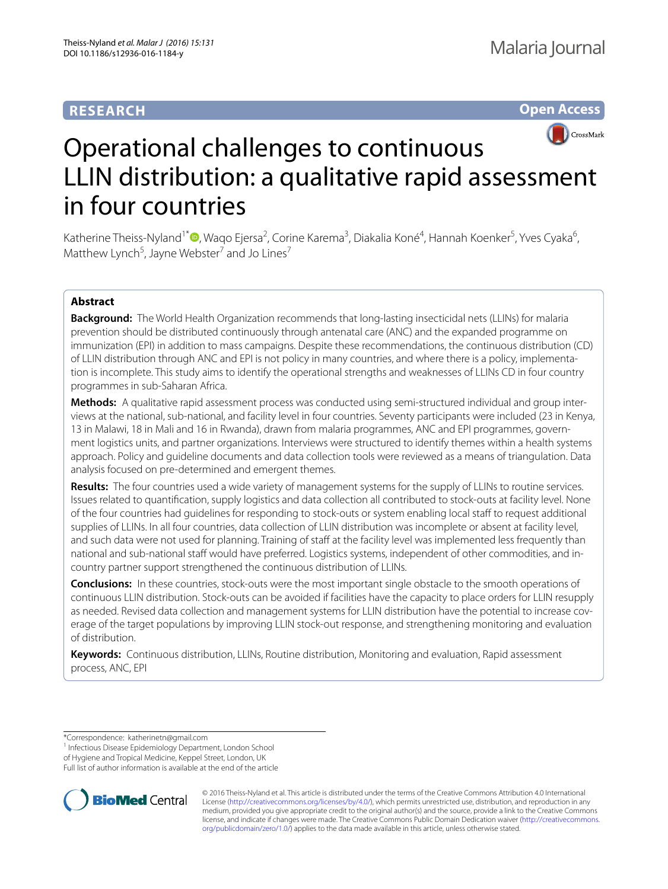# **RESEARCH**

**Open Access**



# Operational challenges to continuous LLIN distribution: a qualitative rapid assessment in four countries

Katherine Theiss-Nyland<sup>1\*</sup><sup>®</sup>[,](http://orcid.org/0000-0001-6585-7847) Waqo Ejersa<sup>2</sup>, Corine Karema<sup>3</sup>, Diakalia Koné<sup>4</sup>, Hannah Koenker<sup>5</sup>, Yves Cyaka<sup>6</sup>, Matthew Lynch<sup>5</sup>, Jayne Webster<sup>7</sup> and Jo Lines<sup>7</sup>

# **Abstract**

**Background:** The World Health Organization recommends that long-lasting insecticidal nets (LLINs) for malaria prevention should be distributed continuously through antenatal care (ANC) and the expanded programme on immunization (EPI) in addition to mass campaigns. Despite these recommendations, the continuous distribution (CD) of LLIN distribution through ANC and EPI is not policy in many countries, and where there is a policy, implementation is incomplete. This study aims to identify the operational strengths and weaknesses of LLINs CD in four country programmes in sub-Saharan Africa.

**Methods:** A qualitative rapid assessment process was conducted using semi-structured individual and group interviews at the national, sub-national, and facility level in four countries. Seventy participants were included (23 in Kenya, 13 in Malawi, 18 in Mali and 16 in Rwanda), drawn from malaria programmes, ANC and EPI programmes, government logistics units, and partner organizations. Interviews were structured to identify themes within a health systems approach. Policy and guideline documents and data collection tools were reviewed as a means of triangulation. Data analysis focused on pre-determined and emergent themes.

**Results:** The four countries used a wide variety of management systems for the supply of LLINs to routine services. Issues related to quantification, supply logistics and data collection all contributed to stock-outs at facility level. None of the four countries had guidelines for responding to stock-outs or system enabling local staff to request additional supplies of LLINs. In all four countries, data collection of LLIN distribution was incomplete or absent at facility level, and such data were not used for planning. Training of staff at the facility level was implemented less frequently than national and sub-national staff would have preferred. Logistics systems, independent of other commodities, and incountry partner support strengthened the continuous distribution of LLINs.

**Conclusions:** In these countries, stock-outs were the most important single obstacle to the smooth operations of continuous LLIN distribution. Stock-outs can be avoided if facilities have the capacity to place orders for LLIN resupply as needed. Revised data collection and management systems for LLIN distribution have the potential to increase coverage of the target populations by improving LLIN stock-out response, and strengthening monitoring and evaluation of distribution.

**Keywords:** Continuous distribution, LLINs, Routine distribution, Monitoring and evaluation, Rapid assessment process, ANC, EPI

\*Correspondence: katherinetn@gmail.com

<sup>1</sup> Infectious Disease Epidemiology Department, London School

of Hygiene and Tropical Medicine, Keppel Street, London, UK Full list of author information is available at the end of the article

**BioMed Central** 

© 2016 Theiss-Nyland et al. This article is distributed under the terms of the Creative Commons Attribution 4.0 International License (<http://creativecommons.org/licenses/by/4.0/>), which permits unrestricted use, distribution, and reproduction in any medium, provided you give appropriate credit to the original author(s) and the source, provide a link to the Creative Commons license, and indicate if changes were made. The Creative Commons Public Domain Dedication waiver ([http://creativecommons.](http://creativecommons.org/publicdomain/zero/1.0/) [org/publicdomain/zero/1.0/](http://creativecommons.org/publicdomain/zero/1.0/)) applies to the data made available in this article, unless otherwise stated.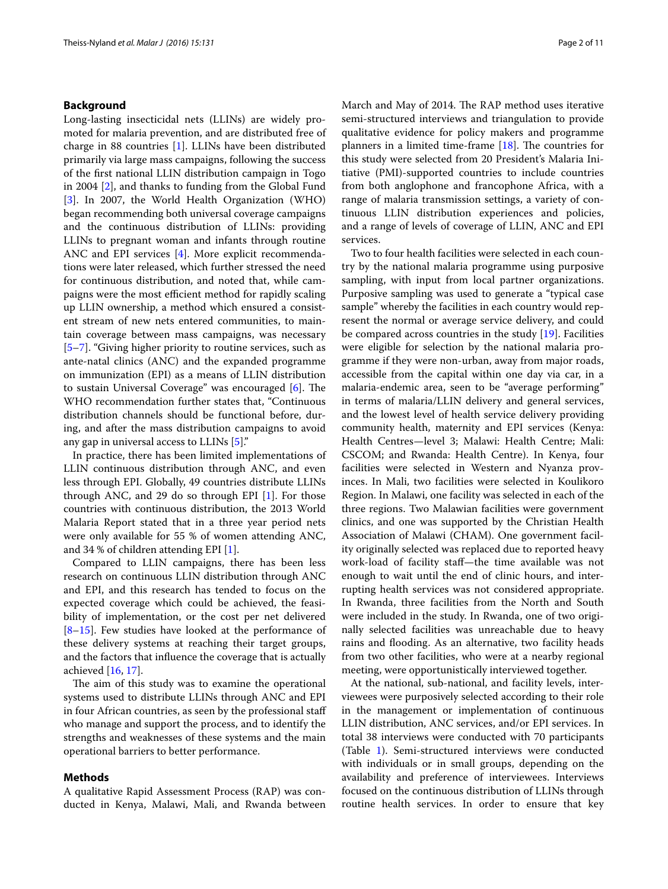## **Background**

Long-lasting insecticidal nets (LLINs) are widely promoted for malaria prevention, and are distributed free of charge in 88 countries [\[1\]](#page-9-0). LLINs have been distributed primarily via large mass campaigns, following the success of the first national LLIN distribution campaign in Togo in 2004 [\[2](#page-9-1)], and thanks to funding from the Global Fund [[3\]](#page-9-2). In 2007, the World Health Organization (WHO) began recommending both universal coverage campaigns and the continuous distribution of LLINs: providing LLINs to pregnant woman and infants through routine ANC and EPI services [[4\]](#page-9-3). More explicit recommendations were later released, which further stressed the need for continuous distribution, and noted that, while campaigns were the most efficient method for rapidly scaling up LLIN ownership, a method which ensured a consistent stream of new nets entered communities, to maintain coverage between mass campaigns, was necessary [[5–](#page-9-4)[7\]](#page-9-5). "Giving higher priority to routine services, such as ante-natal clinics (ANC) and the expanded programme on immunization (EPI) as a means of LLIN distribution to sustain Universal Coverage" was encouraged [\[6](#page-9-6)]. The WHO recommendation further states that, "Continuous distribution channels should be functional before, during, and after the mass distribution campaigns to avoid any gap in universal access to LLINs [\[5](#page-9-4)]."

In practice, there has been limited implementations of LLIN continuous distribution through ANC, and even less through EPI. Globally, 49 countries distribute LLINs through ANC, and 29 do so through EPI [\[1](#page-9-0)]. For those countries with continuous distribution, the 2013 World Malaria Report stated that in a three year period nets were only available for 55 % of women attending ANC, and 34 % of children attending EPI [\[1\]](#page-9-0).

Compared to LLIN campaigns, there has been less research on continuous LLIN distribution through ANC and EPI, and this research has tended to focus on the expected coverage which could be achieved, the feasibility of implementation, or the cost per net delivered [[8–](#page-9-7)[15\]](#page-9-8). Few studies have looked at the performance of these delivery systems at reaching their target groups, and the factors that influence the coverage that is actually achieved [\[16,](#page-9-9) [17](#page-9-10)].

The aim of this study was to examine the operational systems used to distribute LLINs through ANC and EPI in four African countries, as seen by the professional staff who manage and support the process, and to identify the strengths and weaknesses of these systems and the main operational barriers to better performance.

#### **Methods**

A qualitative Rapid Assessment Process (RAP) was conducted in Kenya, Malawi, Mali, and Rwanda between March and May of 2014. The RAP method uses iterative semi-structured interviews and triangulation to provide qualitative evidence for policy makers and programme planners in a limited time-frame [[18\]](#page-9-11). The countries for this study were selected from 20 President's Malaria Initiative (PMI)-supported countries to include countries from both anglophone and francophone Africa, with a range of malaria transmission settings, a variety of continuous LLIN distribution experiences and policies, and a range of levels of coverage of LLIN, ANC and EPI services.

Two to four health facilities were selected in each country by the national malaria programme using purposive sampling, with input from local partner organizations. Purposive sampling was used to generate a "typical case sample" whereby the facilities in each country would represent the normal or average service delivery, and could be compared across countries in the study [[19](#page-9-12)]. Facilities were eligible for selection by the national malaria programme if they were non-urban, away from major roads, accessible from the capital within one day via car, in a malaria-endemic area, seen to be "average performing" in terms of malaria/LLIN delivery and general services, and the lowest level of health service delivery providing community health, maternity and EPI services (Kenya: Health Centres—level 3; Malawi: Health Centre; Mali: CSCOM; and Rwanda: Health Centre). In Kenya, four facilities were selected in Western and Nyanza provinces. In Mali, two facilities were selected in Koulikoro Region. In Malawi, one facility was selected in each of the three regions. Two Malawian facilities were government clinics, and one was supported by the Christian Health Association of Malawi (CHAM). One government facility originally selected was replaced due to reported heavy work-load of facility staff—the time available was not enough to wait until the end of clinic hours, and interrupting health services was not considered appropriate. In Rwanda, three facilities from the North and South were included in the study. In Rwanda, one of two originally selected facilities was unreachable due to heavy rains and flooding. As an alternative, two facility heads from two other facilities, who were at a nearby regional meeting, were opportunistically interviewed together.

At the national, sub-national, and facility levels, interviewees were purposively selected according to their role in the management or implementation of continuous LLIN distribution, ANC services, and/or EPI services. In total 38 interviews were conducted with 70 participants (Table [1](#page-2-0)). Semi-structured interviews were conducted with individuals or in small groups, depending on the availability and preference of interviewees. Interviews focused on the continuous distribution of LLINs through routine health services. In order to ensure that key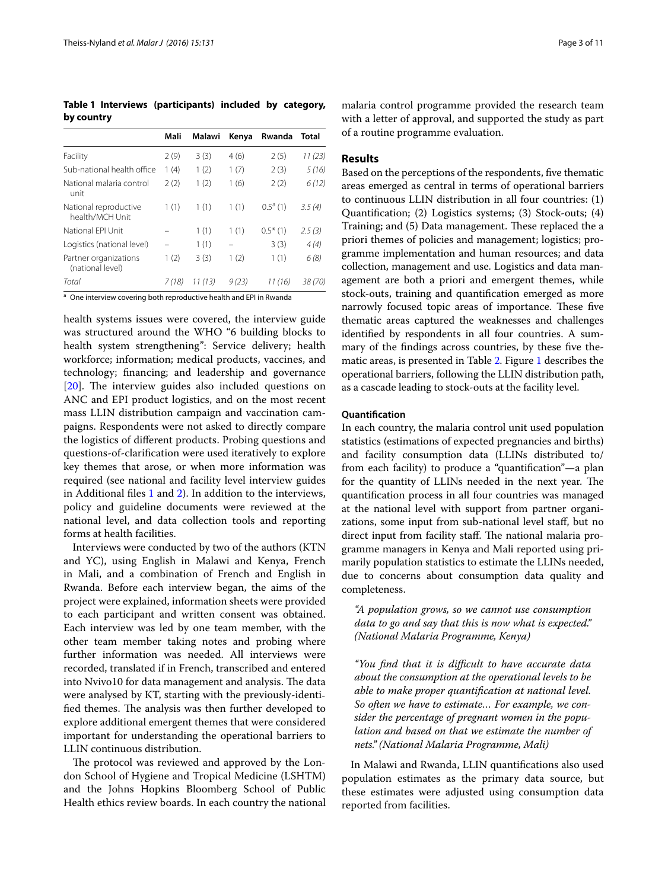<span id="page-2-0"></span>**Table 1 Interviews (participants) included by category, by country**

|                                           | Mali  | Malawi | Kenya  | Rwanda            | Total   |
|-------------------------------------------|-------|--------|--------|-------------------|---------|
| Facility                                  | 2(9)  | 3(3)   | 4(6)   | 2(5)              | 11 (23) |
| Sub-national health office                | 1(4)  | 1(2)   | 1(7)   | 2(3)              | 5(16)   |
| National malaria control<br>unit          | 2(2)  | 1(2)   | 1(6)   | 2(2)              | 6(12)   |
| National reproductive<br>health/MCH Unit  | 1(1)  | 1(1)   | 1(1)   | $0.5^{\circ}$ (1) | 3.5(4)  |
| National FPI Unit                         |       | 1(1)   | 1(1)   | $0.5*(1)$         | 2.5(3)  |
| Logistics (national level)                |       | 1(1)   |        | 3(3)              | 4(4)    |
| Partner organizations<br>(national level) | 1(2)  | 3(3)   | 1(2)   | 1(1)              | 6(8)    |
| Total                                     | 7(18) | 11(13) | 9 (23) | 11 (16)           | 38 (70) |

<sup>a</sup> One interview covering both reproductive health and EPI in Rwanda

health systems issues were covered, the interview guide was structured around the WHO "6 building blocks to health system strengthening": Service delivery; health workforce; information; medical products, vaccines, and technology; financing; and leadership and governance [[20\]](#page-9-13). The interview guides also included questions on ANC and EPI product logistics, and on the most recent mass LLIN distribution campaign and vaccination campaigns. Respondents were not asked to directly compare the logistics of different products. Probing questions and questions-of-clarification were used iteratively to explore key themes that arose, or when more information was required (see national and facility level interview guides in Additional files [1](#page-9-14) and [2\)](#page-9-15). In addition to the interviews, policy and guideline documents were reviewed at the national level, and data collection tools and reporting forms at health facilities.

Interviews were conducted by two of the authors (KTN and YC), using English in Malawi and Kenya, French in Mali, and a combination of French and English in Rwanda. Before each interview began, the aims of the project were explained, information sheets were provided to each participant and written consent was obtained. Each interview was led by one team member, with the other team member taking notes and probing where further information was needed. All interviews were recorded, translated if in French, transcribed and entered into Nvivo10 for data management and analysis. The data were analysed by KT, starting with the previously-identified themes. The analysis was then further developed to explore additional emergent themes that were considered important for understanding the operational barriers to LLIN continuous distribution.

The protocol was reviewed and approved by the London School of Hygiene and Tropical Medicine (LSHTM) and the Johns Hopkins Bloomberg School of Public Health ethics review boards. In each country the national

malaria control programme provided the research team with a letter of approval, and supported the study as part of a routine programme evaluation.

#### **Results**

Based on the perceptions of the respondents, five thematic areas emerged as central in terms of operational barriers to continuous LLIN distribution in all four countries: (1) Quantification; (2) Logistics systems; (3) Stock-outs; (4) Training; and (5) Data management. These replaced the a priori themes of policies and management; logistics; programme implementation and human resources; and data collection, management and use. Logistics and data management are both a priori and emergent themes, while stock-outs, training and quantification emerged as more narrowly focused topic areas of importance. These five thematic areas captured the weaknesses and challenges identified by respondents in all four countries. A summary of the findings across countries, by these five thematic areas, is presented in Table [2.](#page-3-0) Figure [1](#page-3-1) describes the operational barriers, following the LLIN distribution path, as a cascade leading to stock-outs at the facility level.

## **Quantification**

In each country, the malaria control unit used population statistics (estimations of expected pregnancies and births) and facility consumption data (LLINs distributed to/ from each facility) to produce a "quantification"—a plan for the quantity of LLINs needed in the next year. The quantification process in all four countries was managed at the national level with support from partner organizations, some input from sub-national level staff, but no direct input from facility staff. The national malaria programme managers in Kenya and Mali reported using primarily population statistics to estimate the LLINs needed, due to concerns about consumption data quality and completeness.

*"A population grows, so we cannot use consumption data to go and say that this is now what is expected." (National Malaria Programme, Kenya)*

*"You find that it is difficult to have accurate data about the consumption at the operational levels to be able to make proper quantification at national level. So often we have to estimate… For example, we consider the percentage of pregnant women in the population and based on that we estimate the number of nets." (National Malaria Programme, Mali)*

In Malawi and Rwanda, LLIN quantifications also used population estimates as the primary data source, but these estimates were adjusted using consumption data reported from facilities.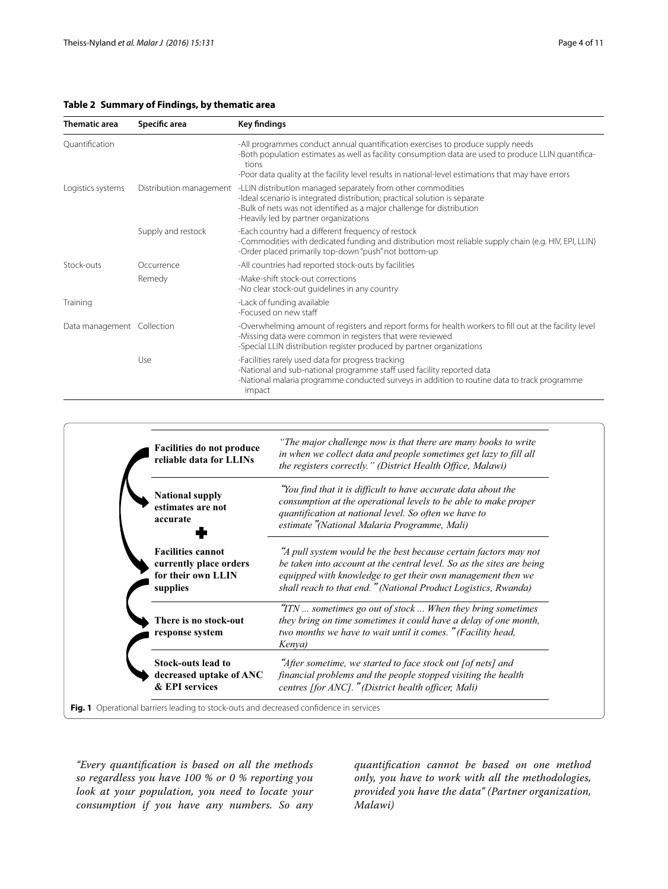#### <span id="page-3-0"></span>**Table 2 Summary of Findings, by thematic area**

| <b>Thematic area</b>       | Specific area           | <b>Key findings</b>                                                                                                                                                                                                                                                                                     |
|----------------------------|-------------------------|---------------------------------------------------------------------------------------------------------------------------------------------------------------------------------------------------------------------------------------------------------------------------------------------------------|
| Quantification             |                         | -All programmes conduct annual quantification exercises to produce supply needs<br>-Both population estimates as well as facility consumption data are used to produce LLIN quantifica-<br>tions<br>-Poor data quality at the facility level results in national-level estimations that may have errors |
| Logistics systems          | Distribution management | -LLIN distribution managed separately from other commodities<br>-Ideal scenario is integrated distribution; practical solution is separate<br>-Bulk of nets was not identified as a major challenge for distribution<br>-Heavily led by partner organizations                                           |
|                            | Supply and restock      | -Each country had a different frequency of restock<br>-Commodities with dedicated funding and distribution most reliable supply chain (e.g. HIV, EPI, LLIN)<br>-Order placed primarily top-down "push" not bottom-up                                                                                    |
| Stock-outs                 | Occurrence              | -All countries had reported stock-outs by facilities                                                                                                                                                                                                                                                    |
|                            | Remedy                  | -Make-shift stock-out corrections<br>-No clear stock-out guidelines in any country                                                                                                                                                                                                                      |
| Training                   |                         | -Lack of funding available<br>-Focused on new staff                                                                                                                                                                                                                                                     |
| Data management Collection |                         | -Overwhelming amount of registers and report forms for health workers to fill out at the facility level<br>-Missing data were common in registers that were reviewed<br>-Special LLIN distribution register produced by partner organizations                                                           |
|                            | Use                     | -Facilities rarely used data for progress tracking<br>-National and sub-national programme staff used facility reported data<br>-National malaria programme conducted surveys in addition to routine data to track programme<br>impact                                                                  |



<span id="page-3-1"></span>*"Every quantification is based on all the methods so regardless you have 100 % or 0 % reporting you look at your population, you need to locate your consumption if you have any numbers. So any* 

*quantification cannot be based on one method only, you have to work with all the methodologies, provided you have the data" (Partner organization, Malawi)*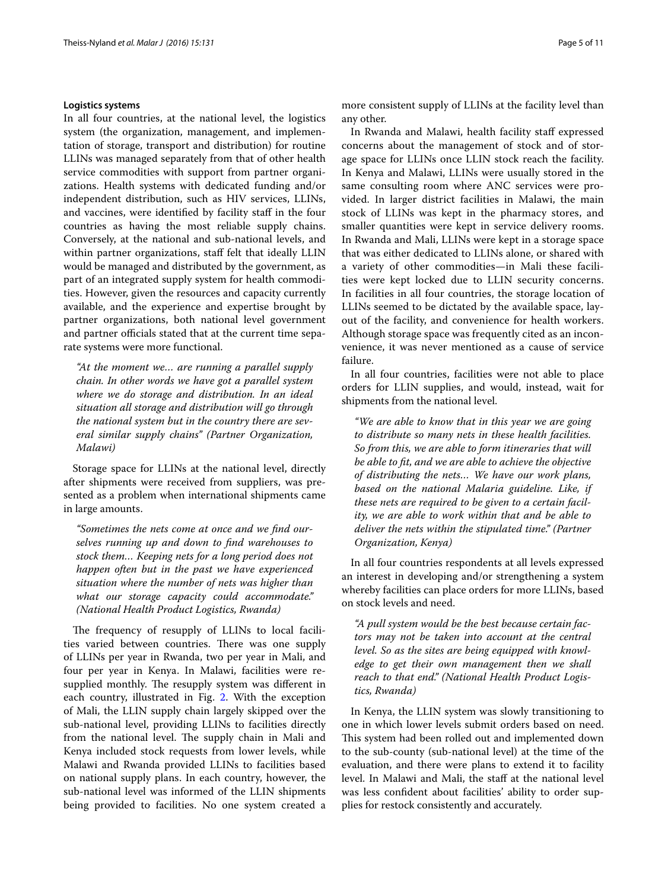#### **Logistics systems**

In all four countries, at the national level, the logistics system (the organization, management, and implementation of storage, transport and distribution) for routine LLINs was managed separately from that of other health service commodities with support from partner organizations. Health systems with dedicated funding and/or independent distribution, such as HIV services, LLINs, and vaccines, were identified by facility staff in the four countries as having the most reliable supply chains. Conversely, at the national and sub-national levels, and within partner organizations, staff felt that ideally LLIN would be managed and distributed by the government, as part of an integrated supply system for health commodities. However, given the resources and capacity currently available, and the experience and expertise brought by partner organizations, both national level government and partner officials stated that at the current time separate systems were more functional.

*"At the moment we… are running a parallel supply chain. In other words we have got a parallel system where we do storage and distribution. In an ideal situation all storage and distribution will go through the national system but in the country there are several similar supply chains" (Partner Organization, Malawi)*

Storage space for LLINs at the national level, directly after shipments were received from suppliers, was presented as a problem when international shipments came in large amounts.

*"Sometimes the nets come at once and we find ourselves running up and down to find warehouses to stock them… Keeping nets for a long period does not happen often but in the past we have experienced situation where the number of nets was higher than what our storage capacity could accommodate." (National Health Product Logistics, Rwanda)*

The frequency of resupply of LLINs to local facilities varied between countries. There was one supply of LLINs per year in Rwanda, two per year in Mali, and four per year in Kenya. In Malawi, facilities were resupplied monthly. The resupply system was different in each country, illustrated in Fig. [2](#page-5-0). With the exception of Mali, the LLIN supply chain largely skipped over the sub-national level, providing LLINs to facilities directly from the national level. The supply chain in Mali and Kenya included stock requests from lower levels, while Malawi and Rwanda provided LLINs to facilities based on national supply plans. In each country, however, the sub-national level was informed of the LLIN shipments being provided to facilities. No one system created a

more consistent supply of LLINs at the facility level than any other.

In Rwanda and Malawi, health facility staff expressed concerns about the management of stock and of storage space for LLINs once LLIN stock reach the facility. In Kenya and Malawi, LLINs were usually stored in the same consulting room where ANC services were provided. In larger district facilities in Malawi, the main stock of LLINs was kept in the pharmacy stores, and smaller quantities were kept in service delivery rooms. In Rwanda and Mali, LLINs were kept in a storage space that was either dedicated to LLINs alone, or shared with a variety of other commodities—in Mali these facilities were kept locked due to LLIN security concerns. In facilities in all four countries, the storage location of LLINs seemed to be dictated by the available space, layout of the facility, and convenience for health workers. Although storage space was frequently cited as an inconvenience, it was never mentioned as a cause of service failure.

In all four countries, facilities were not able to place orders for LLIN supplies, and would, instead, wait for shipments from the national level.

*"We are able to know that in this year we are going to distribute so many nets in these health facilities. So from this, we are able to form itineraries that will be able to fit, and we are able to achieve the objective of distributing the nets… We have our work plans, based on the national Malaria guideline. Like, if these nets are required to be given to a certain facility, we are able to work within that and be able to deliver the nets within the stipulated time." (Partner Organization, Kenya)*

In all four countries respondents at all levels expressed an interest in developing and/or strengthening a system whereby facilities can place orders for more LLINs, based on stock levels and need.

*"A pull system would be the best because certain factors may not be taken into account at the central level. So as the sites are being equipped with knowledge to get their own management then we shall reach to that end." (National Health Product Logistics, Rwanda)*

In Kenya, the LLIN system was slowly transitioning to one in which lower levels submit orders based on need. This system had been rolled out and implemented down to the sub-county (sub-national level) at the time of the evaluation, and there were plans to extend it to facility level. In Malawi and Mali, the staff at the national level was less confident about facilities' ability to order supplies for restock consistently and accurately.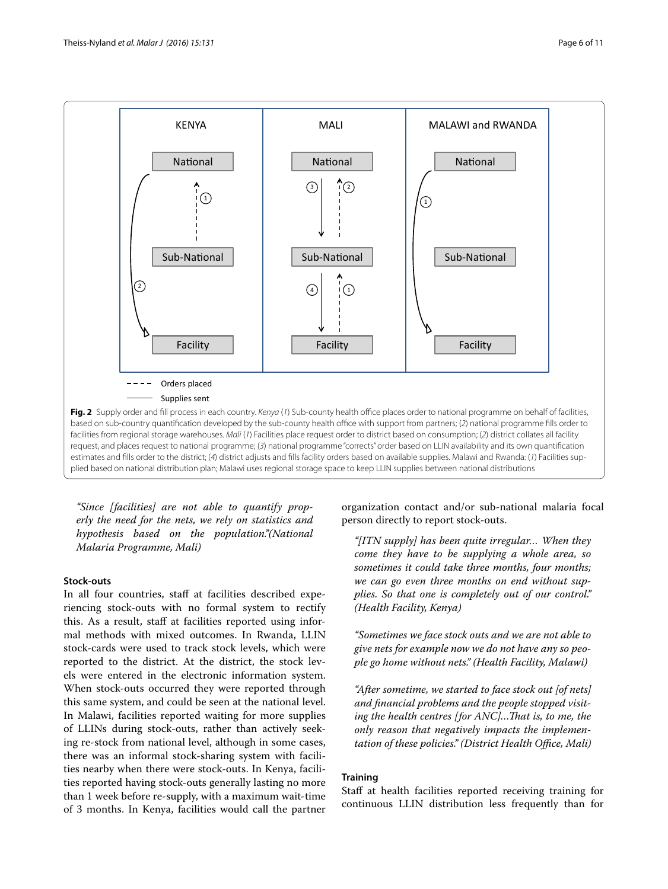

<span id="page-5-0"></span>*"Since [facilities] are not able to quantify properly the need for the nets, we rely on statistics and hypothesis based on the population."(National Malaria Programme, Mali)*

# **Stock‑outs**

In all four countries, staff at facilities described experiencing stock-outs with no formal system to rectify this. As a result, staff at facilities reported using informal methods with mixed outcomes. In Rwanda, LLIN stock-cards were used to track stock levels, which were reported to the district. At the district, the stock levels were entered in the electronic information system. When stock-outs occurred they were reported through this same system, and could be seen at the national level. In Malawi, facilities reported waiting for more supplies of LLINs during stock-outs, rather than actively seeking re-stock from national level, although in some cases, there was an informal stock-sharing system with facilities nearby when there were stock-outs. In Kenya, facilities reported having stock-outs generally lasting no more than 1 week before re-supply, with a maximum wait-time of 3 months. In Kenya, facilities would call the partner organization contact and/or sub-national malaria focal person directly to report stock-outs.

*"[ITN supply] has been quite irregular… When they come they have to be supplying a whole area, so sometimes it could take three months, four months; we can go even three months on end without supplies. So that one is completely out of our control." (Health Facility, Kenya)*

*"Sometimes we face stock outs and we are not able to give nets for example now we do not have any so people go home without nets." (Health Facility, Malawi)*

*"After sometime, we started to face stock out [of nets] and financial problems and the people stopped visiting the health centres [for ANC]…That is, to me, the only reason that negatively impacts the implementation of these policies." (District Health Office, Mali)*

## **Training**

Staff at health facilities reported receiving training for continuous LLIN distribution less frequently than for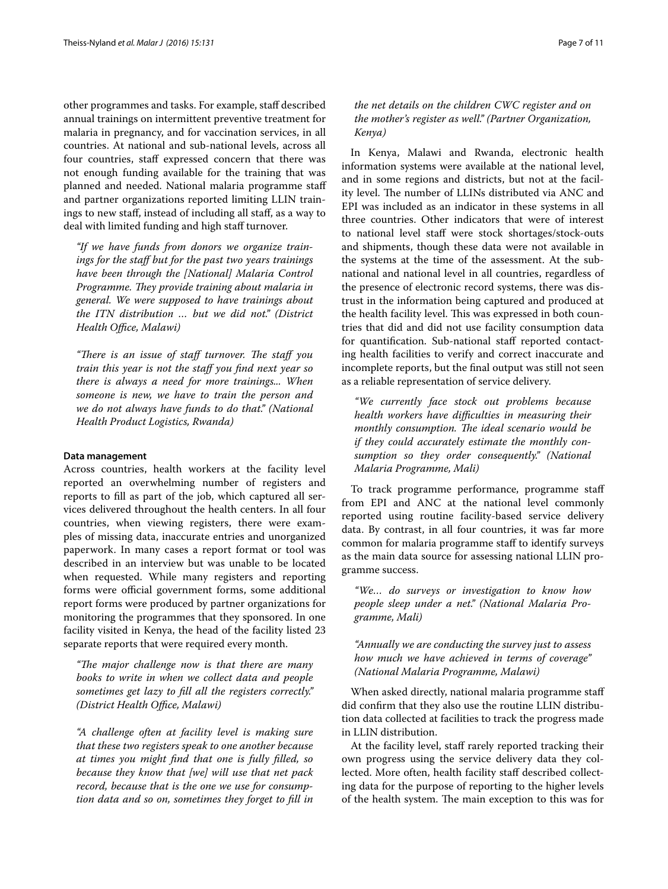other programmes and tasks. For example, staff described annual trainings on intermittent preventive treatment for malaria in pregnancy, and for vaccination services, in all countries. At national and sub-national levels, across all four countries, staff expressed concern that there was not enough funding available for the training that was planned and needed. National malaria programme staff and partner organizations reported limiting LLIN trainings to new staff, instead of including all staff, as a way to deal with limited funding and high staff turnover.

*"If we have funds from donors we organize trainings for the staff but for the past two years trainings have been through the [National] Malaria Control Programme. They provide training about malaria in general. We were supposed to have trainings about the ITN distribution … but we did not." (District Health Office, Malawi)*

*"There is an issue of staff turnover. The staff you train this year is not the staff you find next year so there is always a need for more trainings... When someone is new, we have to train the person and we do not always have funds to do that." (National Health Product Logistics, Rwanda)*

#### **Data management**

Across countries, health workers at the facility level reported an overwhelming number of registers and reports to fill as part of the job, which captured all services delivered throughout the health centers. In all four countries, when viewing registers, there were examples of missing data, inaccurate entries and unorganized paperwork. In many cases a report format or tool was described in an interview but was unable to be located when requested. While many registers and reporting forms were official government forms, some additional report forms were produced by partner organizations for monitoring the programmes that they sponsored. In one facility visited in Kenya, the head of the facility listed 23 separate reports that were required every month.

*"The major challenge now is that there are many books to write in when we collect data and people sometimes get lazy to fill all the registers correctly." (District Health Office, Malawi)*

*"A challenge often at facility level is making sure that these two registers speak to one another because at times you might find that one is fully filled, so because they know that [we] will use that net pack record, because that is the one we use for consumption data and so on, sometimes they forget to fill in* 

*the net details on the children CWC register and on the mother's register as well." (Partner Organization, Kenya)*

In Kenya, Malawi and Rwanda, electronic health information systems were available at the national level, and in some regions and districts, but not at the facility level. The number of LLINs distributed via ANC and EPI was included as an indicator in these systems in all three countries. Other indicators that were of interest to national level staff were stock shortages/stock-outs and shipments, though these data were not available in the systems at the time of the assessment. At the subnational and national level in all countries, regardless of the presence of electronic record systems, there was distrust in the information being captured and produced at the health facility level. This was expressed in both countries that did and did not use facility consumption data for quantification. Sub-national staff reported contacting health facilities to verify and correct inaccurate and incomplete reports, but the final output was still not seen as a reliable representation of service delivery.

*"We currently face stock out problems because health workers have difficulties in measuring their monthly consumption. The ideal scenario would be if they could accurately estimate the monthly consumption so they order consequently." (National Malaria Programme, Mali)*

To track programme performance, programme staff from EPI and ANC at the national level commonly reported using routine facility-based service delivery data. By contrast, in all four countries, it was far more common for malaria programme staff to identify surveys as the main data source for assessing national LLIN programme success.

*"We… do surveys or investigation to know how people sleep under a net." (National Malaria Programme, Mali)*

*"Annually we are conducting the survey just to assess how much we have achieved in terms of coverage" (National Malaria Programme, Malawi)*

When asked directly, national malaria programme staff did confirm that they also use the routine LLIN distribution data collected at facilities to track the progress made in LLIN distribution.

At the facility level, staff rarely reported tracking their own progress using the service delivery data they collected. More often, health facility staff described collecting data for the purpose of reporting to the higher levels of the health system. The main exception to this was for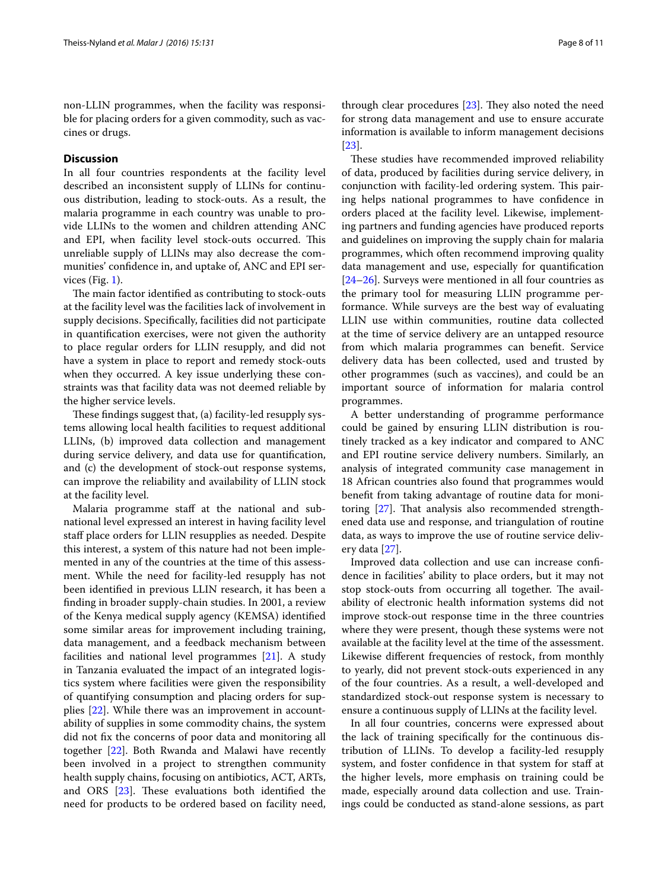non-LLIN programmes, when the facility was responsible for placing orders for a given commodity, such as vaccines or drugs.

## **Discussion**

In all four countries respondents at the facility level described an inconsistent supply of LLINs for continuous distribution, leading to stock-outs. As a result, the malaria programme in each country was unable to provide LLINs to the women and children attending ANC and EPI, when facility level stock-outs occurred. This unreliable supply of LLINs may also decrease the communities' confidence in, and uptake of, ANC and EPI services (Fig. [1](#page-3-1)).

The main factor identified as contributing to stock-outs at the facility level was the facilities lack of involvement in supply decisions. Specifically, facilities did not participate in quantification exercises, were not given the authority to place regular orders for LLIN resupply, and did not have a system in place to report and remedy stock-outs when they occurred. A key issue underlying these constraints was that facility data was not deemed reliable by the higher service levels.

These findings suggest that, (a) facility-led resupply systems allowing local health facilities to request additional LLINs, (b) improved data collection and management during service delivery, and data use for quantification, and (c) the development of stock-out response systems, can improve the reliability and availability of LLIN stock at the facility level.

Malaria programme staff at the national and subnational level expressed an interest in having facility level staff place orders for LLIN resupplies as needed. Despite this interest, a system of this nature had not been implemented in any of the countries at the time of this assessment. While the need for facility-led resupply has not been identified in previous LLIN research, it has been a finding in broader supply-chain studies. In 2001, a review of the Kenya medical supply agency (KEMSA) identified some similar areas for improvement including training, data management, and a feedback mechanism between facilities and national level programmes [[21\]](#page-10-0). A study in Tanzania evaluated the impact of an integrated logistics system where facilities were given the responsibility of quantifying consumption and placing orders for supplies [[22\]](#page-10-1). While there was an improvement in accountability of supplies in some commodity chains, the system did not fix the concerns of poor data and monitoring all together [[22\]](#page-10-1). Both Rwanda and Malawi have recently been involved in a project to strengthen community health supply chains, focusing on antibiotics, ACT, ARTs, and ORS [[23](#page-10-2)]. These evaluations both identified the need for products to be ordered based on facility need,

through clear procedures [\[23](#page-10-2)]. They also noted the need for strong data management and use to ensure accurate information is available to inform management decisions [[23\]](#page-10-2).

These studies have recommended improved reliability of data, produced by facilities during service delivery, in conjunction with facility-led ordering system. This pairing helps national programmes to have confidence in orders placed at the facility level. Likewise, implementing partners and funding agencies have produced reports and guidelines on improving the supply chain for malaria programmes, which often recommend improving quality data management and use, especially for quantification [[24–](#page-10-3)[26\]](#page-10-4). Surveys were mentioned in all four countries as the primary tool for measuring LLIN programme performance. While surveys are the best way of evaluating LLIN use within communities, routine data collected at the time of service delivery are an untapped resource from which malaria programmes can benefit. Service delivery data has been collected, used and trusted by other programmes (such as vaccines), and could be an important source of information for malaria control programmes.

A better understanding of programme performance could be gained by ensuring LLIN distribution is routinely tracked as a key indicator and compared to ANC and EPI routine service delivery numbers. Similarly, an analysis of integrated community case management in 18 African countries also found that programmes would benefit from taking advantage of routine data for monitoring [\[27](#page-10-5)]. That analysis also recommended strengthened data use and response, and triangulation of routine data, as ways to improve the use of routine service delivery data [\[27\]](#page-10-5).

Improved data collection and use can increase confidence in facilities' ability to place orders, but it may not stop stock-outs from occurring all together. The availability of electronic health information systems did not improve stock-out response time in the three countries where they were present, though these systems were not available at the facility level at the time of the assessment. Likewise different frequencies of restock, from monthly to yearly, did not prevent stock-outs experienced in any of the four countries. As a result, a well-developed and standardized stock-out response system is necessary to ensure a continuous supply of LLINs at the facility level.

In all four countries, concerns were expressed about the lack of training specifically for the continuous distribution of LLINs. To develop a facility-led resupply system, and foster confidence in that system for staff at the higher levels, more emphasis on training could be made, especially around data collection and use. Trainings could be conducted as stand-alone sessions, as part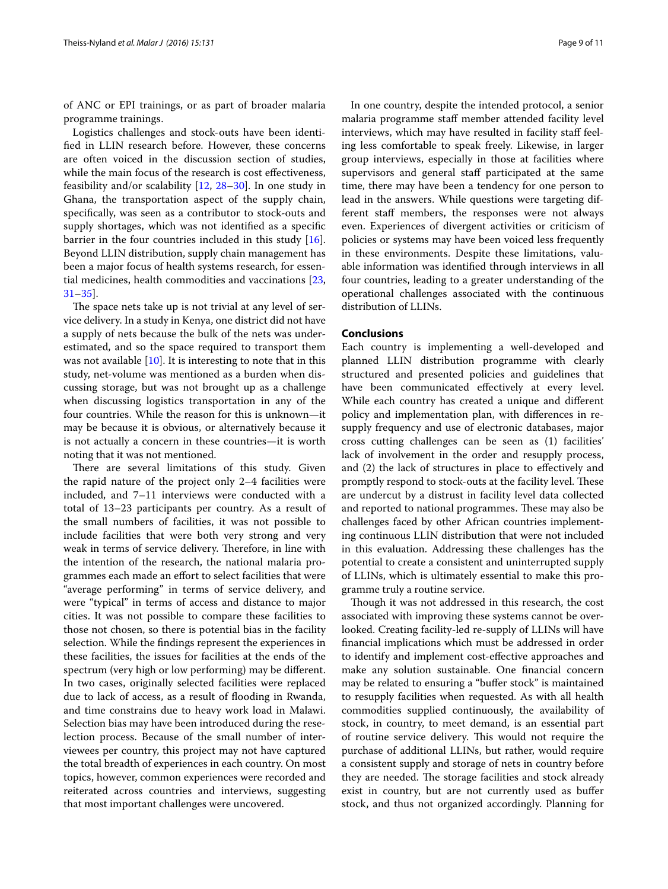of ANC or EPI trainings, or as part of broader malaria programme trainings.

Logistics challenges and stock-outs have been identified in LLIN research before. However, these concerns are often voiced in the discussion section of studies, while the main focus of the research is cost effectiveness, feasibility and/or scalability [\[12,](#page-9-16) [28](#page-10-6)[–30](#page-10-7)]. In one study in Ghana, the transportation aspect of the supply chain, specifically, was seen as a contributor to stock-outs and supply shortages, which was not identified as a specific barrier in the four countries included in this study [\[16](#page-9-9)]. Beyond LLIN distribution, supply chain management has been a major focus of health systems research, for essential medicines, health commodities and vaccinations [\[23](#page-10-2), [31–](#page-10-8)[35](#page-10-9)].

The space nets take up is not trivial at any level of service delivery. In a study in Kenya, one district did not have a supply of nets because the bulk of the nets was underestimated, and so the space required to transport them was not available [\[10\]](#page-9-17). It is interesting to note that in this study, net-volume was mentioned as a burden when discussing storage, but was not brought up as a challenge when discussing logistics transportation in any of the four countries. While the reason for this is unknown—it may be because it is obvious, or alternatively because it is not actually a concern in these countries—it is worth noting that it was not mentioned.

There are several limitations of this study. Given the rapid nature of the project only 2–4 facilities were included, and 7–11 interviews were conducted with a total of 13–23 participants per country. As a result of the small numbers of facilities, it was not possible to include facilities that were both very strong and very weak in terms of service delivery. Therefore, in line with the intention of the research, the national malaria programmes each made an effort to select facilities that were "average performing" in terms of service delivery, and were "typical" in terms of access and distance to major cities. It was not possible to compare these facilities to those not chosen, so there is potential bias in the facility selection. While the findings represent the experiences in these facilities, the issues for facilities at the ends of the spectrum (very high or low performing) may be different. In two cases, originally selected facilities were replaced due to lack of access, as a result of flooding in Rwanda, and time constrains due to heavy work load in Malawi. Selection bias may have been introduced during the reselection process. Because of the small number of interviewees per country, this project may not have captured the total breadth of experiences in each country. On most topics, however, common experiences were recorded and reiterated across countries and interviews, suggesting that most important challenges were uncovered.

In one country, despite the intended protocol, a senior malaria programme staff member attended facility level interviews, which may have resulted in facility staff feeling less comfortable to speak freely. Likewise, in larger group interviews, especially in those at facilities where supervisors and general staff participated at the same time, there may have been a tendency for one person to lead in the answers. While questions were targeting different staff members, the responses were not always even. Experiences of divergent activities or criticism of policies or systems may have been voiced less frequently in these environments. Despite these limitations, valuable information was identified through interviews in all four countries, leading to a greater understanding of the operational challenges associated with the continuous distribution of LLINs.

## **Conclusions**

Each country is implementing a well-developed and planned LLIN distribution programme with clearly structured and presented policies and guidelines that have been communicated effectively at every level. While each country has created a unique and different policy and implementation plan, with differences in resupply frequency and use of electronic databases, major cross cutting challenges can be seen as (1) facilities' lack of involvement in the order and resupply process, and (2) the lack of structures in place to effectively and promptly respond to stock-outs at the facility level. These are undercut by a distrust in facility level data collected and reported to national programmes. These may also be challenges faced by other African countries implementing continuous LLIN distribution that were not included in this evaluation. Addressing these challenges has the potential to create a consistent and uninterrupted supply of LLINs, which is ultimately essential to make this programme truly a routine service.

Though it was not addressed in this research, the cost associated with improving these systems cannot be overlooked. Creating facility-led re-supply of LLINs will have financial implications which must be addressed in order to identify and implement cost-effective approaches and make any solution sustainable. One financial concern may be related to ensuring a "buffer stock" is maintained to resupply facilities when requested. As with all health commodities supplied continuously, the availability of stock, in country, to meet demand, is an essential part of routine service delivery. This would not require the purchase of additional LLINs, but rather, would require a consistent supply and storage of nets in country before they are needed. The storage facilities and stock already exist in country, but are not currently used as buffer stock, and thus not organized accordingly. Planning for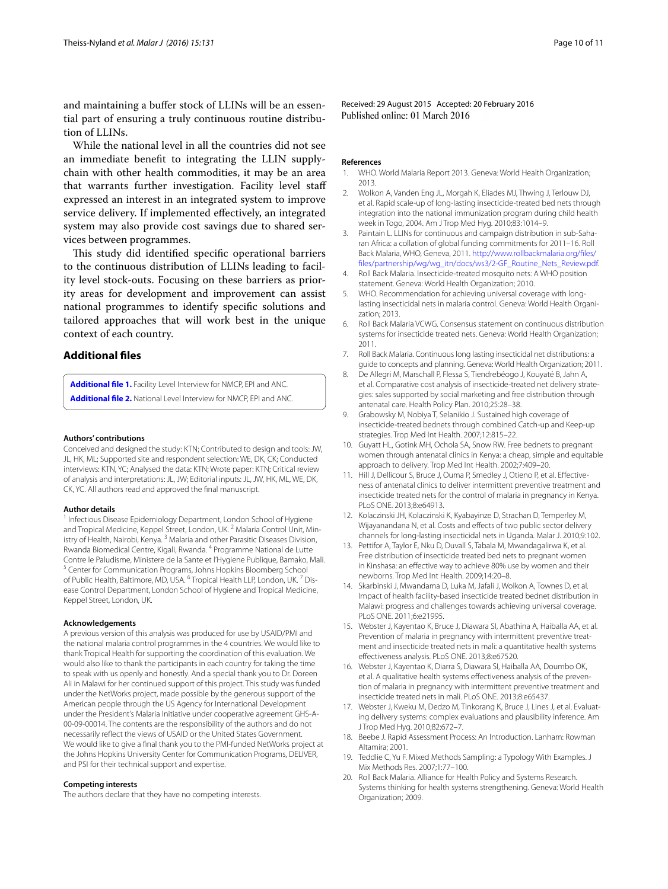and maintaining a buffer stock of LLINs will be an essential part of ensuring a truly continuous routine distribution of LLINs.

While the national level in all the countries did not see an immediate benefit to integrating the LLIN supplychain with other health commodities, it may be an area that warrants further investigation. Facility level staff expressed an interest in an integrated system to improve service delivery. If implemented effectively, an integrated system may also provide cost savings due to shared services between programmes.

This study did identified specific operational barriers to the continuous distribution of LLINs leading to facility level stock-outs. Focusing on these barriers as priority areas for development and improvement can assist national programmes to identify specific solutions and tailored approaches that will work best in the unique context of each country.

## **Additional files**

<span id="page-9-15"></span><span id="page-9-14"></span>**[Additional file 1.](http://dx.doi.org/10.1186/s12936-016-1184-y)** Facility Level Interview for NMCP, EPI and ANC. **[Additional file 2.](http://dx.doi.org/10.1186/s12936-016-1184-y)** National Level Interview for NMCP, EPI and ANC.

#### **Authors' contributions**

Conceived and designed the study: KTN; Contributed to design and tools: JW, JL, HK, ML; Supported site and respondent selection: WE, DK, CK; Conducted interviews: KTN, YC; Analysed the data: KTN; Wrote paper: KTN; Critical review of analysis and interpretations: JL, JW; Editorial inputs: JL, JW, HK, ML, WE, DK, CK, YC. All authors read and approved the final manuscript.

#### **Author details**

<sup>1</sup> Infectious Disease Epidemiology Department, London School of Hygiene and Tropical Medicine, Keppel Street, London, UK.<sup>2</sup> Malaria Control Unit, Ministry of Health, Nairobi, Kenya.<sup>3</sup> Malaria and other Parasitic Diseases Division, Rwanda Biomedical Centre, Kigali, Rwanda. 4 Programme National de Lutte Contre le Paludisme, Ministere de la Sante et l'Hygiene Publique, Bamako, Mali. <sup>5</sup> Center for Communication Programs, Johns Hopkins Bloomberg School of Public Health, Baltimore, MD, USA. <sup>6</sup> Tropical Health LLP, London, UK. <sup>7</sup> Disease Control Department, London School of Hygiene and Tropical Medicine, Keppel Street, London, UK.

#### **Acknowledgements**

A previous version of this analysis was produced for use by USAID/PMI and the national malaria control programmes in the 4 countries. We would like to thank Tropical Health for supporting the coordination of this evaluation. We would also like to thank the participants in each country for taking the time to speak with us openly and honestly. And a special thank you to Dr. Doreen Ali in Malawi for her continued support of this project. This study was funded under the NetWorks project, made possible by the generous support of the American people through the US Agency for International Development under the President's Malaria Initiative under cooperative agreement GHS-A-00-09-00014. The contents are the responsibility of the authors and do not necessarily reflect the views of USAID or the United States Government. We would like to give a final thank you to the PMI-funded NetWorks project at the Johns Hopkins University Center for Communication Programs, DELIVER, and PSI for their technical support and expertise.

#### **Competing interests**

The authors declare that they have no competing interests.

Received: 29 August 2015 Accepted: 20 February 2016 Published online: 01 March 2016

#### **References**

- <span id="page-9-0"></span>1. WHO. World Malaria Report 2013. Geneva: World Health Organization; 2013.
- <span id="page-9-1"></span>2. Wolkon A, Vanden Eng JL, Morgah K, Eliades MJ, Thwing J, Terlouw DJ, et al. Rapid scale-up of long-lasting insecticide-treated bed nets through integration into the national immunization program during child health week in Togo, 2004. Am J Trop Med Hyg. 2010;83:1014–9.
- <span id="page-9-2"></span>3. Paintain L. LLINs for continuous and campaign distribution in sub-Saharan Africa: a collation of global funding commitments for 2011–16. Roll Back Malaria, WHO, Geneva, 2011. [http://www.rollbackmalaria.org/files/](http://www.rollbackmalaria.org/files/files/partnership/wg/wg_itn/docs/ws3/2-GF_Routine_Nets_Review.pdf) [files/partnership/wg/wg\\_itn/docs/ws3/2-GF\\_Routine\\_Nets\\_Review.pdf](http://www.rollbackmalaria.org/files/files/partnership/wg/wg_itn/docs/ws3/2-GF_Routine_Nets_Review.pdf).
- <span id="page-9-3"></span>4. Roll Back Malaria. Insecticide-treated mosquito nets: A WHO position statement. Geneva: World Health Organization; 2010.
- <span id="page-9-4"></span>5. WHO. Recommendation for achieving universal coverage with longlasting insecticidal nets in malaria control. Geneva: World Health Organization; 2013.
- <span id="page-9-6"></span>6. Roll Back Malaria VCWG. Consensus statement on continuous distribution systems for insecticide treated nets. Geneva: World Health Organization; 2011.
- <span id="page-9-5"></span>7. Roll Back Malaria. Continuous long lasting insecticidal net distributions: a guide to concepts and planning. Geneva: World Health Organization; 2011.
- <span id="page-9-7"></span>8. De Allegri M, Marschall P, Flessa S, Tiendrebéogo J, Kouyaté B, Jahn A, et al. Comparative cost analysis of insecticide-treated net delivery strategies: sales supported by social marketing and free distribution through antenatal care. Health Policy Plan. 2010;25:28–38.
- 9. Grabowsky M, Nobiya T, Selanikio J. Sustained high coverage of insecticide-treated bednets through combined Catch-up and Keep-up strategies. Trop Med Int Health. 2007;12:815–22.
- <span id="page-9-17"></span>10. Guyatt HL, Gotink MH, Ochola SA, Snow RW. Free bednets to pregnant women through antenatal clinics in Kenya: a cheap, simple and equitable approach to delivery. Trop Med Int Health. 2002;7:409–20.
- 11. Hill J, Dellicour S, Bruce J, Ouma P, Smedley J, Otieno P, et al. Effectiveness of antenatal clinics to deliver intermittent preventive treatment and insecticide treated nets for the control of malaria in pregnancy in Kenya. PLoS ONE. 2013;8:e64913.
- <span id="page-9-16"></span>12. Kolaczinski JH, Kolaczinski K, Kyabayinze D, Strachan D, Temperley M, Wijayanandana N, et al. Costs and effects of two public sector delivery channels for long-lasting insecticidal nets in Uganda. Malar J. 2010;9:102.
- 13. Pettifor A, Taylor E, Nku D, Duvall S, Tabala M, Mwandagalirwa K, et al. Free distribution of insecticide treated bed nets to pregnant women in Kinshasa: an effective way to achieve 80% use by women and their newborns. Trop Med Int Health. 2009;14:20–8.
- 14. Skarbinski J, Mwandama D, Luka M, Jafali J, Wolkon A, Townes D, et al. Impact of health facility-based insecticide treated bednet distribution in Malawi: progress and challenges towards achieving universal coverage. PLoS ONE. 2011;6:e21995.
- <span id="page-9-8"></span>15. Webster J, Kayentao K, Bruce J, Diawara SI, Abathina A, Haiballa AA, et al. Prevention of malaria in pregnancy with intermittent preventive treatment and insecticide treated nets in mali: a quantitative health systems effectiveness analysis. PLoS ONE. 2013;8:e67520.
- <span id="page-9-9"></span>16. Webster J, Kayentao K, Diarra S, Diawara SI, Haiballa AA, Doumbo OK, et al. A qualitative health systems effectiveness analysis of the prevention of malaria in pregnancy with intermittent preventive treatment and insecticide treated nets in mali. PLoS ONE. 2013;8:e65437.
- <span id="page-9-10"></span>17. Webster J, Kweku M, Dedzo M, Tinkorang K, Bruce J, Lines J, et al. Evaluating delivery systems: complex evaluations and plausibility inference. Am J Trop Med Hyg. 2010;82:672–7.
- <span id="page-9-11"></span>18. Beebe J. Rapid Assessment Process: An Introduction. Lanham: Rowman Altamira; 2001.
- <span id="page-9-12"></span>19. Teddlie C, Yu F. Mixed Methods Sampling: a Typology With Examples. J Mix Methods Res. 2007;1:77–100.
- <span id="page-9-13"></span>20. Roll Back Malaria. Alliance for Health Policy and Systems Research. Systems thinking for health systems strengthening. Geneva: World Health Organization; 2009.